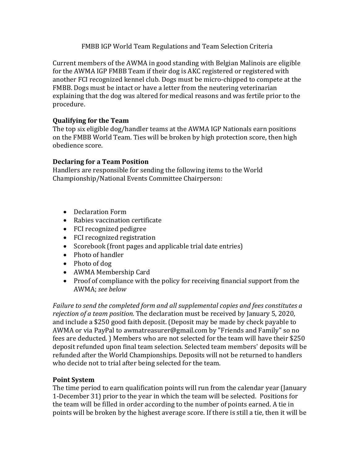## FMBB IGP World Team Regulations and Team Selection Criteria

Current members of the AWMA in good standing with Belgian Malinois are eligible for the AWMA IGP FMBB Team if their dog is AKC registered or registered with another FCI recognized kennel club. Dogs must be micro-chipped to compete at the FMBB. Dogs must be intact or have a letter from the neutering veterinarian explaining that the dog was altered for medical reasons and was fertile prior to the procedure.

# **Qualifying for the Team**

The top six eligible dog/handler teams at the AWMA IGP Nationals earn positions on the FMBB World Team. Ties will be broken by high protection score, then high obedience score.

### **Declaring for a Team Position**

Handlers are responsible for sending the following items to the World Championship/National Events Committee Chairperson:

- Declaration Form
- Rabies vaccination certificate
- FCI recognized pedigree
- FCI recognized registration
- Scorebook (front pages and applicable trial date entries)
- Photo of handler
- Photo of dog
- AWMA Membership Card
- Proof of compliance with the policy for receiving financial support from the AWMA; *see below*

*Failure to send the completed form and all supplemental copies and fees constitutes a rejection of a team position.* The declaration must be received by January 5, 2020, and include a \$250 good faith deposit. (Deposit may be made by check payable to AWMA or via PayPal to awmatreasurer@gmail.com by "Friends and Family" so no fees are deducted. ) Members who are not selected for the team will have their \$250 deposit refunded upon final team selection. Selected team members' deposits will be refunded after the World Championships. Deposits will not be returned to handlers who decide not to trial after being selected for the team.

### **Point System**

The time period to earn qualification points will run from the calendar year (January 1-December 31) prior to the year in which the team will be selected. Positions for the team will be filled in order according to the number of points earned. A tie in points will be broken by the highest average score. If there is still a tie, then it will be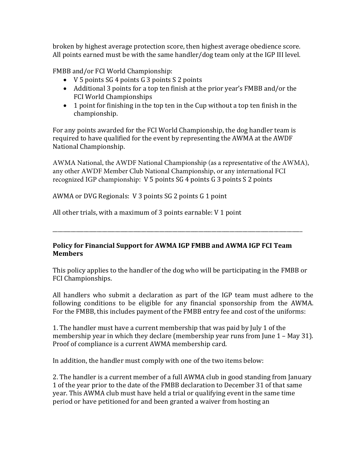broken by highest average protection score, then highest average obedience score. All points earned must be with the same handler/dog team only at the IGP III level.

FMBB and/or FCI World Championship:

- V 5 points SG 4 points G 3 points S 2 points
- Additional 3 points for a top ten finish at the prior year's FMBB and/or the FCI World Championships
- 1 point for finishing in the top ten in the Cup without a top ten finish in the championship.

For any points awarded for the FCI World Championship, the dog handler team is required to have qualified for the event by representing the AWMA at the AWDF National Championship.

AWMA National, the AWDF National Championship (as a representative of the AWMA), any other AWDF Member Club National Championship, or any international FCI recognized IGP championship: V 5 points SG 4 points G 3 points S 2 points

AWMA or DVG Regionals: V 3 points SG 2 points G 1 point

All other trials, with a maximum of 3 points earnable: V 1 point

# **Policy for Financial Support for AWMA IGP FMBB and AWMA IGP FCI Team Members**

\_\_\_\_\_\_\_\_\_\_\_\_\_\_\_\_\_\_\_\_\_\_\_\_\_\_\_\_\_\_\_\_\_\_\_\_\_\_\_\_\_\_\_\_\_\_\_\_\_\_\_\_\_\_\_\_\_\_\_\_\_\_\_\_\_\_\_\_\_\_\_\_\_\_\_\_\_\_\_\_\_\_\_\_\_\_\_\_\_\_\_\_\_\_\_\_

This policy applies to the handler of the dog who will be participating in the FMBB or FCI Championships.

All handlers who submit a declaration as part of the IGP team must adhere to the following conditions to be eligible for any financial sponsorship from the AWMA. For the FMBB, this includes payment of the FMBB entry fee and cost of the uniforms:

1. The handler must have a current membership that was paid by July 1 of the membership year in which they declare (membership year runs from June 1 – May 31). Proof of compliance is a current AWMA membership card.

In addition, the handler must comply with one of the two items below:

2. The handler is a current member of a full AWMA club in good standing from January 1 of the year prior to the date of the FMBB declaration to December 31 of that same year. This AWMA club must have held a trial or qualifying event in the same time period or have petitioned for and been granted a waiver from hosting an